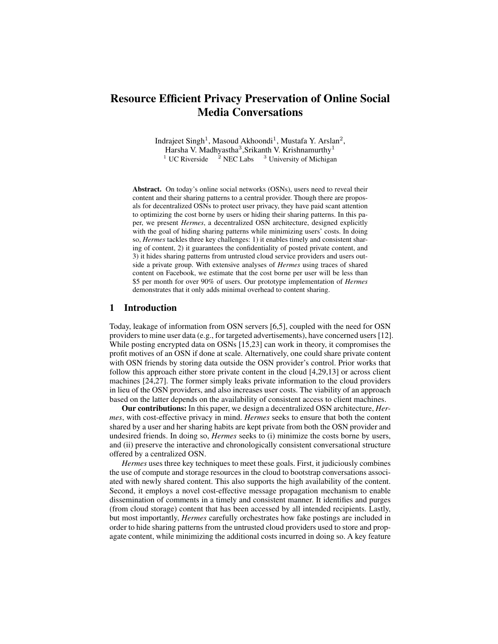# Resource Efficient Privacy Preservation of Online Social Media Conversations

Indrajeet Singh<sup>1</sup>, Masoud Akhoondi<sup>1</sup>, Mustafa Y. Arslan<sup>2</sup>, Harsha V. Madhyastha<sup>3</sup>, Srikanth V. Krishnamurthy<sup>1</sup> <sup>1</sup> UC Riverside <sup>2</sup> NEC Labs <sup>3</sup> University of Michigan

Abstract. On today's online social networks (OSNs), users need to reveal their content and their sharing patterns to a central provider. Though there are proposals for decentralized OSNs to protect user privacy, they have paid scant attention to optimizing the cost borne by users or hiding their sharing patterns. In this paper, we present *Hermes*, a decentralized OSN architecture, designed explicitly with the goal of hiding sharing patterns while minimizing users' costs. In doing so, *Hermes* tackles three key challenges: 1) it enables timely and consistent sharing of content, 2) it guarantees the confidentiality of posted private content, and 3) it hides sharing patterns from untrusted cloud service providers and users outside a private group. With extensive analyses of *Hermes* using traces of shared content on Facebook, we estimate that the cost borne per user will be less than \$5 per month for over 90% of users. Our prototype implementation of *Hermes* demonstrates that it only adds minimal overhead to content sharing.

## 1 Introduction

Today, leakage of information from OSN servers [\[6](#page-16-0)[,5\]](#page-16-1), coupled with the need for OSN providers to mine user data (e.g., for targeted advertisements), have concerned users [\[12\]](#page-16-2). While posting encrypted data on OSNs [\[15](#page-16-3)[,23\]](#page-16-4) can work in theory, it compromises the profit motives of an OSN if done at scale. Alternatively, one could share private content with OSN friends by storing data outside the OSN provider's control. Prior works that follow this approach either store private content in the cloud [\[4,](#page-15-0)[29,](#page-16-5)[13\]](#page-16-6) or across client machines [\[24,](#page-16-7)[27\]](#page-16-8). The former simply leaks private information to the cloud providers in lieu of the OSN providers, and also increases user costs. The viability of an approach based on the latter depends on the availability of consistent access to client machines.

Our contributions: In this paper, we design a decentralized OSN architecture, *Hermes*, with cost-effective privacy in mind. *Hermes* seeks to ensure that both the content shared by a user and her sharing habits are kept private from both the OSN provider and undesired friends. In doing so, *Hermes* seeks to (i) minimize the costs borne by users, and (ii) preserve the interactive and chronologically consistent conversational structure offered by a centralized OSN.

*Hermes* uses three key techniques to meet these goals. First, it judiciously combines the use of compute and storage resources in the cloud to bootstrap conversations associated with newly shared content. This also supports the high availability of the content. Second, it employs a novel cost-effective message propagation mechanism to enable dissemination of comments in a timely and consistent manner. It identifies and purges (from cloud storage) content that has been accessed by all intended recipients. Lastly, but most importantly, *Hermes* carefully orchestrates how fake postings are included in order to hide sharing patterns from the untrusted cloud providers used to store and propagate content, while minimizing the additional costs incurred in doing so. A key feature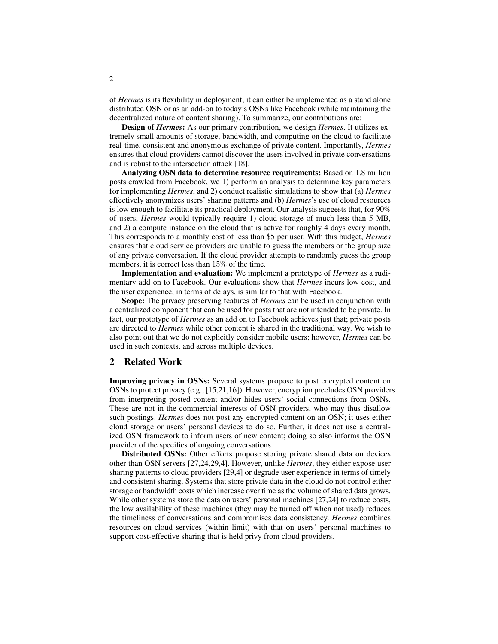of *Hermes* is its flexibility in deployment; it can either be implemented as a stand alone distributed OSN or as an add-on to today's OSNs like Facebook (while maintaining the decentralized nature of content sharing). To summarize, our contributions are:

Design of *Hermes*: As our primary contribution, we design *Hermes*. It utilizes extremely small amounts of storage, bandwidth, and computing on the cloud to facilitate real-time, consistent and anonymous exchange of private content. Importantly, *Hermes* ensures that cloud providers cannot discover the users involved in private conversations and is robust to the intersection attack [\[18\]](#page-16-9).

Analyzing OSN data to determine resource requirements: Based on 1.8 million posts crawled from Facebook, we 1) perform an analysis to determine key parameters for implementing *Hermes*, and 2) conduct realistic simulations to show that (a) *Hermes* effectively anonymizes users' sharing patterns and (b) *Hermes*'s use of cloud resources is low enough to facilitate its practical deployment. Our analysis suggests that, for 90% of users, *Hermes* would typically require 1) cloud storage of much less than 5 MB, and 2) a compute instance on the cloud that is active for roughly 4 days every month. This corresponds to a monthly cost of less than \$5 per user. With this budget, *Hermes* ensures that cloud service providers are unable to guess the members or the group size of any private conversation. If the cloud provider attempts to randomly guess the group members, it is correct less than 15% of the time.

Implementation and evaluation: We implement a prototype of *Hermes* as a rudimentary add-on to Facebook. Our evaluations show that *Hermes* incurs low cost, and the user experience, in terms of delays, is similar to that with Facebook.

Scope: The privacy preserving features of *Hermes* can be used in conjunction with a centralized component that can be used for posts that are not intended to be private. In fact, our prototype of *Hermes* as an add on to Facebook achieves just that; private posts are directed to *Hermes* while other content is shared in the traditional way. We wish to also point out that we do not explicitly consider mobile users; however, *Hermes* can be used in such contexts, and across multiple devices.

# 2 Related Work

Improving privacy in OSNs: Several systems propose to post encrypted content on OSNs to protect privacy (e.g., [\[15,](#page-16-3)[21,](#page-16-10)[16\]](#page-16-11)). However, encryption precludes OSN providers from interpreting posted content and/or hides users' social connections from OSNs. These are not in the commercial interests of OSN providers, who may thus disallow such postings. *Hermes* does not post any encrypted content on an OSN; it uses either cloud storage or users' personal devices to do so. Further, it does not use a centralized OSN framework to inform users of new content; doing so also informs the OSN provider of the specifics of ongoing conversations.

Distributed OSNs: Other efforts propose storing private shared data on devices other than OSN servers [\[27,](#page-16-8)[24,](#page-16-7)[29](#page-16-5)[,4\]](#page-15-0). However, unlike *Hermes*, they either expose user sharing patterns to cloud providers [\[29,](#page-16-5)[4\]](#page-15-0) or degrade user experience in terms of timely and consistent sharing. Systems that store private data in the cloud do not control either storage or bandwidth costs which increase over time as the volume of shared data grows. While other systems store the data on users' personal machines [\[27,](#page-16-8)[24\]](#page-16-7) to reduce costs, the low availability of these machines (they may be turned off when not used) reduces the timeliness of conversations and compromises data consistency. *Hermes* combines resources on cloud services (within limit) with that on users' personal machines to support cost-effective sharing that is held privy from cloud providers.

 $\mathfrak{D}$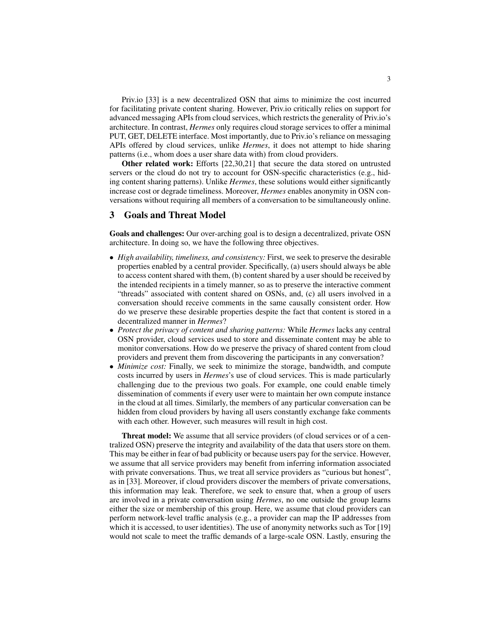Priv.io [\[33\]](#page-16-12) is a new decentralized OSN that aims to minimize the cost incurred for facilitating private content sharing. However, Priv.io critically relies on support for advanced messaging APIs from cloud services, which restricts the generality of Priv.io's architecture. In contrast, *Hermes* only requires cloud storage services to offer a minimal PUT, GET, DELETE interface. Most importantly, due to Priv.io's reliance on messaging APIs offered by cloud services, unlike *Hermes*, it does not attempt to hide sharing patterns (i.e., whom does a user share data with) from cloud providers.

Other related work: Efforts [\[22](#page-16-13)[,30,](#page-16-14)[21\]](#page-16-10) that secure the data stored on untrusted servers or the cloud do not try to account for OSN-specific characteristics (e.g., hiding content sharing patterns). Unlike *Hermes*, these solutions would either significantly increase cost or degrade timeliness. Moreover, *Hermes* enables anonymity in OSN conversations without requiring all members of a conversation to be simultaneously online.

## 3 Goals and Threat Model

Goals and challenges: Our over-arching goal is to design a decentralized, private OSN architecture. In doing so, we have the following three objectives.

- *High availability, timeliness, and consistency:* First, we seek to preserve the desirable properties enabled by a central provider. Specifically, (a) users should always be able to access content shared with them, (b) content shared by a user should be received by the intended recipients in a timely manner, so as to preserve the interactive comment "threads" associated with content shared on OSNs, and, (c) all users involved in a conversation should receive comments in the same causally consistent order. How do we preserve these desirable properties despite the fact that content is stored in a decentralized manner in *Hermes*?
- *• Protect the privacy of content and sharing patterns:* While *Hermes* lacks any central OSN provider, cloud services used to store and disseminate content may be able to monitor conversations. How do we preserve the privacy of shared content from cloud providers and prevent them from discovering the participants in any conversation?
- *• Minimize cost:* Finally, we seek to minimize the storage, bandwidth, and compute costs incurred by users in *Hermes*'s use of cloud services. This is made particularly challenging due to the previous two goals. For example, one could enable timely dissemination of comments if every user were to maintain her own compute instance in the cloud at all times. Similarly, the members of any particular conversation can be hidden from cloud providers by having all users constantly exchange fake comments with each other. However, such measures will result in high cost.

Threat model: We assume that all service providers (of cloud services or of a centralized OSN) preserve the integrity and availability of the data that users store on them. This may be either in fear of bad publicity or because users pay for the service. However, we assume that all service providers may benefit from inferring information associated with private conversations. Thus, we treat all service providers as "curious but honest", as in [\[33\]](#page-16-12). Moreover, if cloud providers discover the members of private conversations, this information may leak. Therefore, we seek to ensure that, when a group of users are involved in a private conversation using *Hermes*, no one outside the group learns either the size or membership of this group. Here, we assume that cloud providers can perform network-level traffic analysis (e.g., a provider can map the IP addresses from which it is accessed, to user identities). The use of anonymity networks such as Tor [\[19\]](#page-16-15) would not scale to meet the traffic demands of a large-scale OSN. Lastly, ensuring the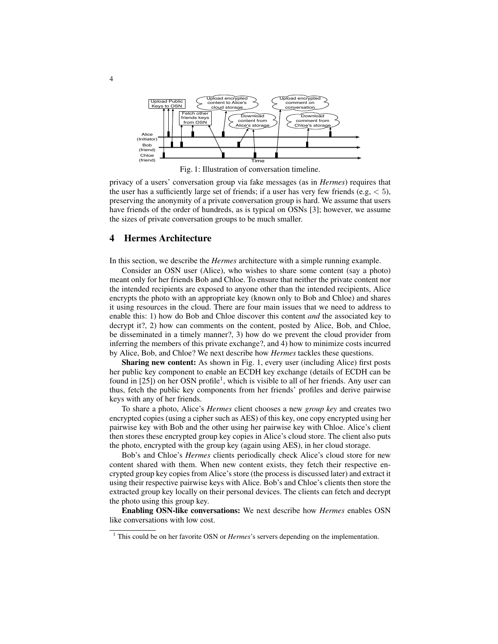<span id="page-3-0"></span>

Fig. 1: Illustration of conversation timeline.

privacy of a users' conversation group via fake messages (as in *Hermes*) requires that the user has a sufficiently large set of friends; if a user has very few friends (e.g, *<* 5), preserving the anonymity of a private conversation group is hard. We assume that users have friends of the order of hundreds, as is typical on OSNs [\[3\]](#page-15-1); however, we assume the sizes of private conversation groups to be much smaller.

## <span id="page-3-2"></span>4 Hermes Architecture

In this section, we describe the *Hermes* architecture with a simple running example.

Consider an OSN user (Alice), who wishes to share some content (say a photo) meant only for her friends Bob and Chloe. To ensure that neither the private content nor the intended recipients are exposed to anyone other than the intended recipients, Alice encrypts the photo with an appropriate key (known only to Bob and Chloe) and shares it using resources in the cloud. There are four main issues that we need to address to enable this: 1) how do Bob and Chloe discover this content *and* the associated key to decrypt it?, 2) how can comments on the content, posted by Alice, Bob, and Chloe, be disseminated in a timely manner?, 3) how do we prevent the cloud provider from inferring the members of this private exchange?, and 4) how to minimize costs incurred by Alice, Bob, and Chloe? We next describe how *Hermes* tackles these questions.

Sharing new content: As shown in Fig. [1,](#page-3-0) every user (including Alice) first posts her public key component to enable an ECDH key exchange (details of ECDH can be found in  $[25]$ ) on her OSN profile<sup>1</sup>, which is visible to all of her friends. Any user can thus, fetch the public key components from her friends' profiles and derive pairwise keys with any of her friends.

To share a photo, Alice's *Hermes* client chooses a new *group key* and creates two encrypted copies (using a cipher such as AES) of this key, one copy encrypted using her pairwise key with Bob and the other using her pairwise key with Chloe. Alice's client then stores these encrypted group key copies in Alice's cloud store. The client also puts the photo, encrypted with the group key (again using AES), in her cloud storage.

Bob's and Chloe's *Hermes* clients periodically check Alice's cloud store for new content shared with them. When new content exists, they fetch their respective encrypted group key copies from Alice's store (the process is discussed later) and extract it using their respective pairwise keys with Alice. Bob's and Chloe's clients then store the extracted group key locally on their personal devices. The clients can fetch and decrypt the photo using this group key.

Enabling OSN-like conversations: We next describe how *Hermes* enables OSN like conversations with low cost.

<span id="page-3-1"></span><sup>&</sup>lt;sup>1</sup> This could be on her favorite OSN or *Hermes*'s servers depending on the implementation.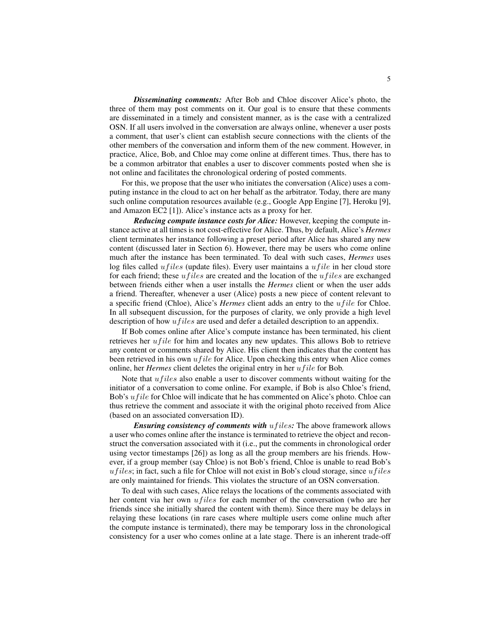*Disseminating comments:* After Bob and Chloe discover Alice's photo, the three of them may post comments on it. Our goal is to ensure that these comments are disseminated in a timely and consistent manner, as is the case with a centralized OSN. If all users involved in the conversation are always online, whenever a user posts a comment, that user's client can establish secure connections with the clients of the other members of the conversation and inform them of the new comment. However, in practice, Alice, Bob, and Chloe may come online at different times. Thus, there has to be a common arbitrator that enables a user to discover comments posted when she is not online and facilitates the chronological ordering of posted comments.

For this, we propose that the user who initiates the conversation (Alice) uses a computing instance in the cloud to act on her behalf as the arbitrator. Today, there are many such online computation resources available (e.g., Google App Engine [\[7\]](#page-16-17), Heroku [\[9\]](#page-16-18), and Amazon EC2 [\[1\]](#page-15-2)). Alice's instance acts as a proxy for her.

*Reducing compute instance costs for Alice:* However, keeping the compute instance active at all times is not cost-effective for Alice. Thus, by default, Alice's *Hermes* client terminates her instance following a preset period after Alice has shared any new content (discussed later in Section [6\)](#page-9-0). However, there may be users who come online much after the instance has been terminated. To deal with such cases, *Hermes* uses log files called *uf iles* (update files). Every user maintains a *uf ile* in her cloud store for each friend; these *uf iles* are created and the location of the *uf iles* are exchanged between friends either when a user installs the *Hermes* client or when the user adds a friend. Thereafter, whenever a user (Alice) posts a new piece of content relevant to a specific friend (Chloe), Alice's *Hermes* client adds an entry to the *uf ile* for Chloe. In all subsequent discussion, for the purposes of clarity, we only provide a high level description of how *uf iles* are used and defer a detailed description to an appendix.

If Bob comes online after Alice's compute instance has been terminated, his client retrieves her *uf ile* for him and locates any new updates. This allows Bob to retrieve any content or comments shared by Alice. His client then indicates that the content has been retrieved in his own *uf ile* for Alice. Upon checking this entry when Alice comes online, her *Hermes* client deletes the original entry in her *uf ile* for Bob.

Note that *uf iles* also enable a user to discover comments without waiting for the initiator of a conversation to come online. For example, if Bob is also Chloe's friend, Bob's *uf ile* for Chloe will indicate that he has commented on Alice's photo. Chloe can thus retrieve the comment and associate it with the original photo received from Alice (based on an associated conversation ID).

*Ensuring consistency of comments with uf iles:* The above framework allows a user who comes online after the instance is terminated to retrieve the object and reconstruct the conversation associated with it (i.e., put the comments in chronological order using vector timestamps [\[26\]](#page-16-19)) as long as all the group members are his friends. However, if a group member (say Chloe) is not Bob's friend, Chloe is unable to read Bob's *uf iles*; in fact, such a file for Chloe will not exist in Bob's cloud storage, since *uf iles* are only maintained for friends. This violates the structure of an OSN conversation.

To deal with such cases, Alice relays the locations of the comments associated with her content via her own *uf iles* for each member of the conversation (who are her friends since she initially shared the content with them). Since there may be delays in relaying these locations (in rare cases where multiple users come online much after the compute instance is terminated), there may be temporary loss in the chronological consistency for a user who comes online at a late stage. There is an inherent trade-off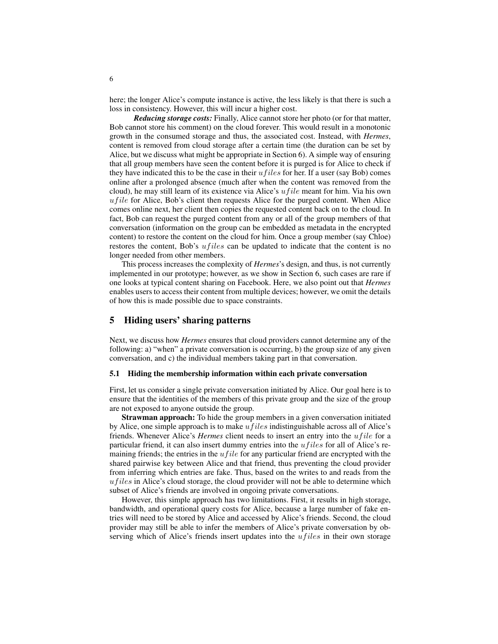here; the longer Alice's compute instance is active, the less likely is that there is such a loss in consistency. However, this will incur a higher cost.

*Reducing storage costs:* Finally, Alice cannot store her photo (or for that matter, Bob cannot store his comment) on the cloud forever. This would result in a monotonic growth in the consumed storage and thus, the associated cost. Instead, with *Hermes*, content is removed from cloud storage after a certain time (the duration can be set by Alice, but we discuss what might be appropriate in Section [6\)](#page-9-0). A simple way of ensuring that all group members have seen the content before it is purged is for Alice to check if they have indicated this to be the case in their *uf iles* for her. If a user (say Bob) comes online after a prolonged absence (much after when the content was removed from the cloud), he may still learn of its existence via Alice's *uf ile* meant for him. Via his own *uf ile* for Alice, Bob's client then requests Alice for the purged content. When Alice comes online next, her client then copies the requested content back on to the cloud. In fact, Bob can request the purged content from any or all of the group members of that conversation (information on the group can be embedded as metadata in the encrypted content) to restore the content on the cloud for him. Once a group member (say Chloe) restores the content, Bob's *uf iles* can be updated to indicate that the content is no longer needed from other members.

This process increases the complexity of *Hermes*'s design, and thus, is not currently implemented in our prototype; however, as we show in Section [6,](#page-9-0) such cases are rare if one looks at typical content sharing on Facebook. Here, we also point out that *Hermes* enables users to access their content from multiple devices; however, we omit the details of how this is made possible due to space constraints.

## <span id="page-5-0"></span>5 Hiding users' sharing patterns

Next, we discuss how *Hermes* ensures that cloud providers cannot determine any of the following: a) "when" a private conversation is occurring, b) the group size of any given conversation, and c) the individual members taking part in that conversation.

#### 5.1 Hiding the membership information within each private conversation

First, let us consider a single private conversation initiated by Alice. Our goal here is to ensure that the identities of the members of this private group and the size of the group are not exposed to anyone outside the group.

Strawman approach: To hide the group members in a given conversation initiated by Alice, one simple approach is to make *uf iles* indistinguishable across all of Alice's friends. Whenever Alice's *Hermes* client needs to insert an entry into the *uf ile* for a particular friend, it can also insert dummy entries into the *uf iles* for all of Alice's remaining friends; the entries in the *uf ile* for any particular friend are encrypted with the shared pairwise key between Alice and that friend, thus preventing the cloud provider from inferring which entries are fake. Thus, based on the writes to and reads from the *uf iles* in Alice's cloud storage, the cloud provider will not be able to determine which subset of Alice's friends are involved in ongoing private conversations.

However, this simple approach has two limitations. First, it results in high storage, bandwidth, and operational query costs for Alice, because a large number of fake entries will need to be stored by Alice and accessed by Alice's friends. Second, the cloud provider may still be able to infer the members of Alice's private conversation by observing which of Alice's friends insert updates into the *uf iles* in their own storage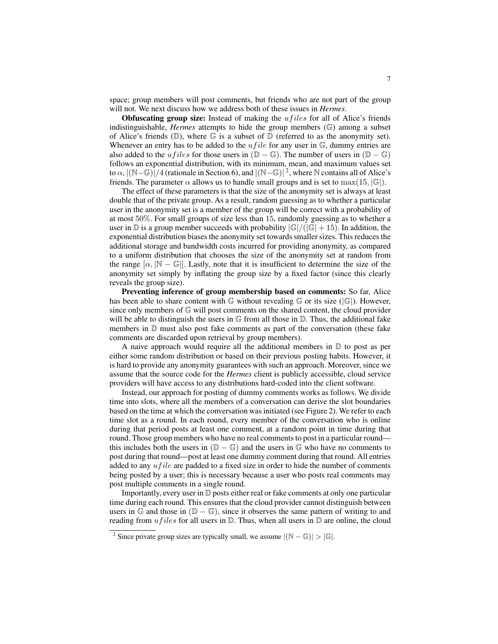space; group members will post comments, but friends who are not part of the group will not. We next discuss how we address both of these issues in *Hermes*.

Obfuscating group size: Instead of making the *uf iles* for all of Alice's friends indistinguishable, *Hermes* attempts to hide the group members (G) among a subset of Alice's friends  $(\mathbb{D})$ , where  $\mathbb{G}$  is a subset of  $\mathbb{D}$  (referred to as the anonymity set). Whenever an entry has to be added to the *uf ile* for any user in G, dummy entries are also added to the *ufiles* for those users in  $(D - \mathbb{G})$ . The number of users in  $(D - \mathbb{G})$ follows an exponential distribution, with its minimum, mean, and maximum values set to  $\alpha$ ,  $|(\mathbb{N}-\mathbb{G})|/4$  (rationale in Section [6\)](#page-9-0), and  $|(\mathbb{N}-\mathbb{G})|^2$ , where N contains all of Alice's friends. The parameter  $\alpha$  allows us to handle small groups and is set to max $(15, |\mathbb{G}|)$ .

The effect of these parameters is that the size of the anonymity set is always at least double that of the private group. As a result, random guessing as to whether a particular user in the anonymity set is a member of the group will be correct with a probability of at most 50%. For small groups of size less than 15, randomly guessing as to whether a user in  $\mathbb D$  is a group member succeeds with probability  $|\mathbb{G}|/(|\mathbb{G}|+15)$ . In addition, the exponential distribution biases the anonymity set towards smaller sizes. This reduces the additional storage and bandwidth costs incurred for providing anonymity, as compared to a uniform distribution that chooses the size of the anonymity set at random from the range  $[\alpha, |\mathbb{N} - \mathbb{G}|]$ . Lastly, note that it is insufficient to determine the size of the anonymity set simply by inflating the group size by a fixed factor (since this clearly reveals the group size).

Preventing inference of group membership based on comments: So far, Alice has been able to share content with  $\mathbb{G}$  without revealing  $\mathbb{G}$  or its size ( $|\mathbb{G}|$ ). However, since only members of G will post comments on the shared content, the cloud provider will be able to distinguish the users in  $\mathbb G$  from all those in  $\mathbb D$ . Thus, the additional fake members in  $D$  must also post fake comments as part of the conversation (these fake comments are discarded upon retrieval by group members).

A naive approach would require all the additional members in  $\mathbb D$  to post as per either some random distribution or based on their previous posting habits. However, it is hard to provide any anonymity guarantees with such an approach. Moreover, since we assume that the source code for the *Hermes* client is publicly accessible, cloud service providers will have access to any distributions hard-coded into the client software.

Instead, our approach for posting of dummy comments works as follows. We divide time into slots, where all the members of a conversation can derive the slot boundaries based on the time at which the conversation was initiated (see Figure [2\)](#page-7-0). We refer to each time slot as a round. In each round, every member of the conversation who is online during that period posts at least one comment, at a random point in time during that round. Those group members who have no real comments to post in a particular round this includes both the users in  $(D - G)$  and the users in G who have no comments to post during that round—post at least one dummy comment during that round. All entries added to any *uf ile* are padded to a fixed size in order to hide the number of comments being posted by a user; this is necessary because a user who posts real comments may post multiple comments in a single round.

Importantly, every user in  $\mathbb D$  posts either real or fake comments at only one particular time during each round. This ensures that the cloud provider cannot distinguish between users in  $\mathbb G$  and those in  $(\mathbb D - \mathbb G)$ , since it observes the same pattern of writing to and reading from  $u$  *files* for all users in  $D$ . Thus, when all users in  $D$  are online, the cloud

<span id="page-6-0"></span><sup>&</sup>lt;sup>2</sup> Since private group sizes are typically small, we assume  $|(N - \mathbb{G})| > |\mathbb{G}|$ .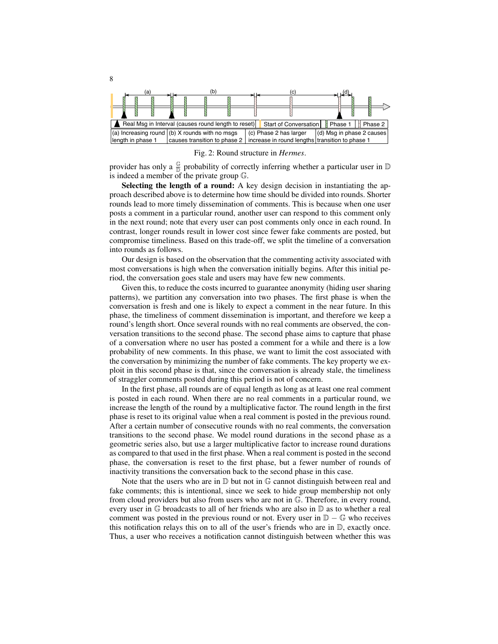<span id="page-7-0"></span>

Fig. 2: Round structure in *Hermes*.

provider has only a  $\frac{G}{D}$  probability of correctly inferring whether a particular user in  $D$ is indeed a member of the private group G.

Selecting the length of a round: A key design decision in instantiating the approach described above is to determine how time should be divided into rounds. Shorter rounds lead to more timely dissemination of comments. This is because when one user posts a comment in a particular round, another user can respond to this comment only in the next round; note that every user can post comments only once in each round. In contrast, longer rounds result in lower cost since fewer fake comments are posted, but compromise timeliness. Based on this trade-off, we split the timeline of a conversation into rounds as follows.

Our design is based on the observation that the commenting activity associated with most conversations is high when the conversation initially begins. After this initial period, the conversation goes stale and users may have few new comments.

Given this, to reduce the costs incurred to guarantee anonymity (hiding user sharing patterns), we partition any conversation into two phases. The first phase is when the conversation is fresh and one is likely to expect a comment in the near future. In this phase, the timeliness of comment dissemination is important, and therefore we keep a round's length short. Once several rounds with no real comments are observed, the conversation transitions to the second phase. The second phase aims to capture that phase of a conversation where no user has posted a comment for a while and there is a low probability of new comments. In this phase, we want to limit the cost associated with the conversation by minimizing the number of fake comments. The key property we exploit in this second phase is that, since the conversation is already stale, the timeliness of straggler comments posted during this period is not of concern.

In the first phase, all rounds are of equal length as long as at least one real comment is posted in each round. When there are no real comments in a particular round, we increase the length of the round by a multiplicative factor. The round length in the first phase is reset to its original value when a real comment is posted in the previous round. After a certain number of consecutive rounds with no real comments, the conversation transitions to the second phase. We model round durations in the second phase as a geometric series also, but use a larger multiplicative factor to increase round durations as compared to that used in the first phase. When a real comment is posted in the second phase, the conversation is reset to the first phase, but a fewer number of rounds of inactivity transitions the conversation back to the second phase in this case.

Note that the users who are in  $D$  but not in  $G$  cannot distinguish between real and fake comments; this is intentional, since we seek to hide group membership not only from cloud providers but also from users who are not in G. Therefore, in every round, every user in G broadcasts to all of her friends who are also in D as to whether a real comment was posted in the previous round or not. Every user in  $D - G$  who receives this notification relays this on to all of the user's friends who are in D, exactly once. Thus, a user who receives a notification cannot distinguish between whether this was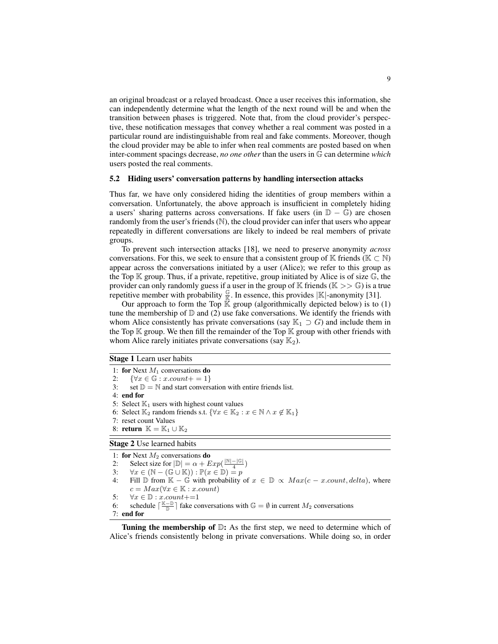an original broadcast or a relayed broadcast. Once a user receives this information, she can independently determine what the length of the next round will be and when the transition between phases is triggered. Note that, from the cloud provider's perspective, these notification messages that convey whether a real comment was posted in a particular round are indistinguishable from real and fake comments. Moreover, though the cloud provider may be able to infer when real comments are posted based on when inter-comment spacings decrease, *no one other* than the users in G can determine *which* users posted the real comments.

#### 5.2 Hiding users' conversation patterns by handling intersection attacks

Thus far, we have only considered hiding the identities of group members within a conversation. Unfortunately, the above approach is insufficient in completely hiding a users' sharing patterns across conversations. If fake users (in  $\mathbb{D} - \mathbb{G}$ ) are chosen randomly from the user's friends  $(N)$ , the cloud provider can infer that users who appear repeatedly in different conversations are likely to indeed be real members of private groups.

To prevent such intersection attacks [\[18\]](#page-16-9), we need to preserve anonymity *across* conversations. For this, we seek to ensure that a consistent group of  $\mathbb K$  friends ( $\mathbb K \subset \mathbb N$ ) appear across the conversations initiated by a user (Alice); we refer to this group as the Top  $\mathbb K$  group. Thus, if a private, repetitive, group initiated by Alice is of size  $\mathbb G$ , the provider can only randomly guess if a user in the group of K friends (K *>>* G) is a true repetitive member with probability  $\frac{\mathbb{G}}{\mathbb{R}}$ . In essence, this provides  $|\mathbb{K}|$ -anonymity [\[31\]](#page-16-20).

Our approach to form the Top  $\tilde{K}$  group (algorithmically depicted below) is to (1) tune the membership of  $D$  and (2) use fake conversations. We identify the friends with whom Alice consistently has private conversations (say  $\mathbb{K}_1 \supset G$ ) and include them in the Top  $K$  group. We then fill the remainder of the Top  $K$  group with other friends with whom Alice rarely initiates private conversations (say  $\mathbb{K}_2$ ).

<span id="page-8-0"></span>Stage 1 Learn user habits

1: for Next *M*<sup>1</sup> conversations do

2:  $\{\forall x \in \mathbb{G} : x.count += 1\}$ <br>3: set  $\mathbb{D} = \mathbb{N}$  and start convers

set  $\mathbb{D} = \mathbb{N}$  and start conversation with entire friends list.

4: end for

- 5: Select  $\mathbb{K}_1$  users with highest count values
- 6: Select  $\mathbb{K}_2$  random friends s.t.  $\{\forall x \in \mathbb{K}_2 : x \in \mathbb{N} \land x \notin \mathbb{K}_1\}$

7: reset count Values

8: return  $\mathbb{K} = \mathbb{K}_1 \cup \mathbb{K}_2$ 

<span id="page-8-1"></span>Stage 2 Use learned habits

1: for Next  $M_2$  conversations do 2: Select size for  $|\mathbb{D}| = \alpha + Exp(\frac{|\mathbb{N}| - |\mathbb{G}|}{4})$ 3:  $\forall x \in (\mathbb{N} - (\mathbb{G} \cup \mathbb{K})) : \mathbb{P}(x \in \mathbb{D}) = p$ <br>4: Fill  $\mathbb{D}$  from  $\mathbb{K} - \mathbb{G}$  with probability Fill  $\mathbb{D}$  from  $\mathbb{K} - \mathbb{G}$  with probability of  $x \in \mathbb{D} \propto Max(c - x.count, delta)$ , where  $c = Max(\forall x \in \mathbb{K} : x.count)$ 5:  $\forall x \in \mathbb{D} : x.count+=1$ <br>6: schedule  $\lceil \frac{\mathbb{K}-\mathbb{D}}{\mathbb{R}} \rceil$  fake co 6: schedule  $\lceil \frac{K-D}{D} \rceil$  fake conversations with  $\mathbb{G} = \emptyset$  in current  $M_2$  conversations 7: end for

Tuning the membership of  $\mathbb{D}$ : As the first step, we need to determine which of Alice's friends consistently belong in private conversations. While doing so, in order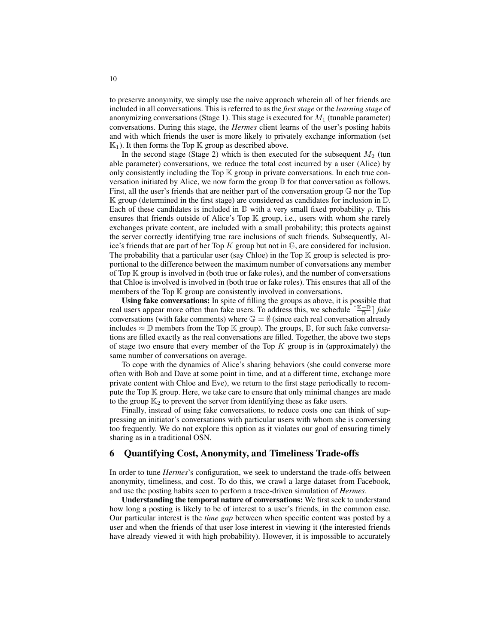to preserve anonymity, we simply use the naive approach wherein all of her friends are included in all conversations. This is referred to as the *first stage* or the *learning stage* of anonymizing conversations (Stage [1\)](#page-8-0). This stage is executed for *M*<sup>1</sup> (tunable parameter) conversations. During this stage, the *Hermes* client learns of the user's posting habits and with which friends the user is more likely to privately exchange information (set  $\mathbb{K}_1$ ). It then forms the Top  $\mathbb{K}$  group as described above.

In the second stage (Stage [2\)](#page-8-1) which is then executed for the subsequent  $M_2$  (tun able parameter) conversations, we reduce the total cost incurred by a user (Alice) by only consistently including the Top  $K$  group in private conversations. In each true conversation initiated by Alice, we now form the group  $D$  for that conversation as follows. First, all the user's friends that are neither part of the conversation group G nor the Top  $\mathbb K$  group (determined in the first stage) are considered as candidates for inclusion in  $\mathbb D$ . Each of these candidates is included in  $D$  with a very small fixed probability  $p$ . This ensures that friends outside of Alice's Top  $\mathbb K$  group, i.e., users with whom she rarely exchanges private content, are included with a small probability; this protects against the server correctly identifying true rare inclusions of such friends. Subsequently, Alice's friends that are part of her Top *K* group but not in G, are considered for inclusion. The probability that a particular user (say Chloe) in the Top  $\mathbb K$  group is selected is proportional to the difference between the maximum number of conversations any member of Top K group is involved in (both true or fake roles), and the number of conversations that Chloe is involved is involved in (both true or fake roles). This ensures that all of the members of the Top  $\mathbb K$  group are consistently involved in conversations.

Using fake conversations: In spite of filling the groups as above, it is possible that real users appear more often than fake users. To address this, we schedule  $\lceil \frac{\mathbb{K} - \mathbb{D}}{\mathbb{D}} \rceil$  *fake* conversations (with fake comments) where  $\mathbb{G} = \emptyset$  (since each real conversation already includes  $\approx \mathbb{D}$  members from the Top K group). The groups,  $\mathbb{D}$ , for such fake conversations are filled exactly as the real conversations are filled. Together, the above two steps of stage two ensure that every member of the Top *K* group is in (approximately) the same number of conversations on average.

To cope with the dynamics of Alice's sharing behaviors (she could converse more often with Bob and Dave at some point in time, and at a different time, exchange more private content with Chloe and Eve), we return to the first stage periodically to recompute the Top  $K$  group. Here, we take care to ensure that only minimal changes are made to the group  $\mathbb{K}_2$  to prevent the server from identifying these as fake users.

Finally, instead of using fake conversations, to reduce costs one can think of suppressing an initiator's conversations with particular users with whom she is conversing too frequently. We do not explore this option as it violates our goal of ensuring timely sharing as in a traditional OSN.

# <span id="page-9-0"></span>6 Quantifying Cost, Anonymity, and Timeliness Trade-offs

In order to tune *Hermes*'s configuration, we seek to understand the trade-offs between anonymity, timeliness, and cost. To do this, we crawl a large dataset from Facebook, and use the posting habits seen to perform a trace-driven simulation of *Hermes*.

Understanding the temporal nature of conversations: We first seek to understand how long a posting is likely to be of interest to a user's friends, in the common case. Our particular interest is the *time gap* between when specific content was posted by a user and when the friends of that user lose interest in viewing it (the interested friends have already viewed it with high probability). However, it is impossible to accurately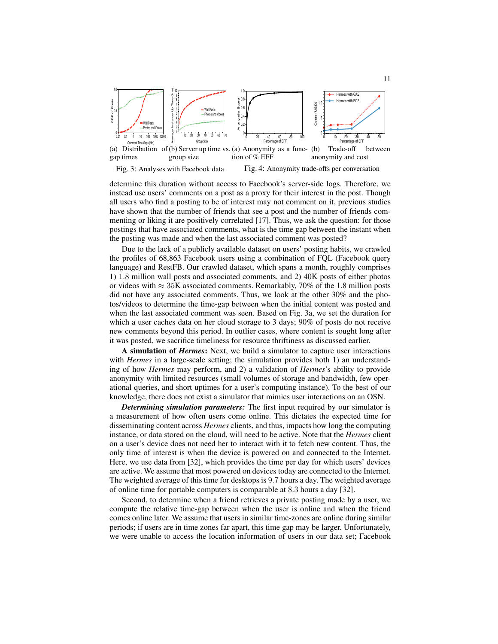<span id="page-10-2"></span><span id="page-10-0"></span>

<span id="page-10-3"></span><span id="page-10-1"></span>determine this duration without access to Facebook's server-side logs. Therefore, we instead use users' comments on a post as a proxy for their interest in the post. Though all users who find a posting to be of interest may not comment on it, previous studies have shown that the number of friends that see a post and the number of friends commenting or liking it are positively correlated [\[17\]](#page-16-21). Thus, we ask the question: for those postings that have associated comments, what is the time gap between the instant when the posting was made and when the last associated comment was posted?

Due to the lack of a publicly available dataset on users' posting habits, we crawled the profiles of 68,863 Facebook users using a combination of FQL (Facebook query language) and RestFB. Our crawled dataset, which spans a month, roughly comprises 1) 1*.*8 million wall posts and associated comments, and 2) 40K posts of either photos or videos with  $\approx 35$ K associated comments. Remarkably, 70% of the 1.8 million posts did not have any associated comments. Thus, we look at the other 30% and the photos/videos to determine the time-gap between when the initial content was posted and when the last associated comment was seen. Based on Fig. [3a,](#page-10-0) we set the duration for which a user caches data on her cloud storage to 3 days; 90% of posts do not receive new comments beyond this period. In outlier cases, where content is sought long after it was posted, we sacrifice timeliness for resource thriftiness as discussed earlier.

A simulation of *Hermes*: Next, we build a simulator to capture user interactions with *Hermes* in a large-scale setting; the simulation provides both 1) an understanding of how *Hermes* may perform, and 2) a validation of *Hermes*'s ability to provide anonymity with limited resources (small volumes of storage and bandwidth, few operational queries, and short uptimes for a user's computing instance). To the best of our knowledge, there does not exist a simulator that mimics user interactions on an OSN.

*Determining simulation parameters:* The first input required by our simulator is a measurement of how often users come online. This dictates the expected time for disseminating content across *Hermes* clients, and thus, impacts how long the computing instance, or data stored on the cloud, will need to be active. Note that the *Hermes* client on a user's device does not need her to interact with it to fetch new content. Thus, the only time of interest is when the device is powered on and connected to the Internet. Here, we use data from [\[32\]](#page-16-22), which provides the time per day for which users' devices are active. We assume that most powered on devices today are connected to the Internet. The weighted average of this time for desktops is 9*.*7 hours a day. The weighted average of online time for portable computers is comparable at 8*.*3 hours a day [\[32\]](#page-16-22).

Second, to determine when a friend retrieves a private posting made by a user, we compute the relative time-gap between when the user is online and when the friend comes online later. We assume that users in similar time-zones are online during similar periods; if users are in time zones far apart, this time gap may be larger. Unfortunately, we were unable to access the location information of users in our data set; Facebook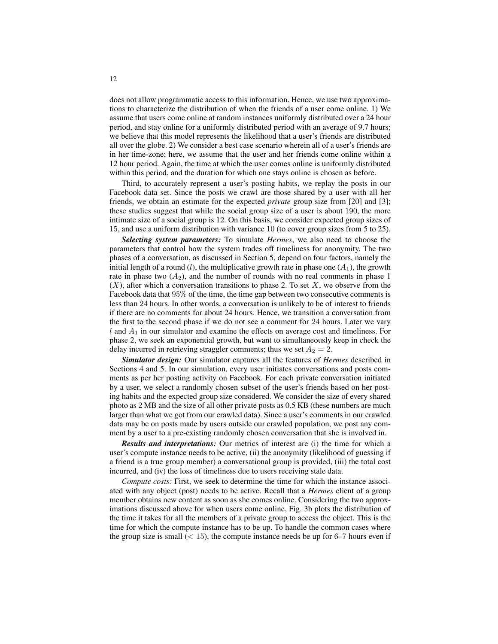does not allow programmatic access to this information. Hence, we use two approximations to characterize the distribution of when the friends of a user come online. 1) We assume that users come online at random instances uniformly distributed over a 24 hour period, and stay online for a uniformly distributed period with an average of 9.7 hours; we believe that this model represents the likelihood that a user's friends are distributed all over the globe. 2) We consider a best case scenario wherein all of a user's friends are in her time-zone; here, we assume that the user and her friends come online within a 12 hour period. Again, the time at which the user comes online is uniformly distributed within this period, and the duration for which one stays online is chosen as before.

Third, to accurately represent a user's posting habits, we replay the posts in our Facebook data set. Since the posts we crawl are those shared by a user with all her friends, we obtain an estimate for the expected *private* group size from [\[20\]](#page-16-23) and [\[3\]](#page-15-1); these studies suggest that while the social group size of a user is about 190, the more intimate size of a social group is 12. On this basis, we consider expected group sizes of 15, and use a uniform distribution with variance 10 (to cover group sizes from 5 to 25).

*Selecting system parameters:* To simulate *Hermes*, we also need to choose the parameters that control how the system trades off timeliness for anonymity. The two phases of a conversation, as discussed in Section [5,](#page-5-0) depend on four factors, namely the initial length of a round  $(l)$ , the multiplicative growth rate in phase one  $(A_1)$ , the growth rate in phase two  $(A_2)$ , and the number of rounds with no real comments in phase 1  $(X)$ , after which a conversation transitions to phase 2. To set X, we observe from the Facebook data that 95% of the time, the time gap between two consecutive comments is less than 24 hours. In other words, a conversation is unlikely to be of interest to friends if there are no comments for about 24 hours. Hence, we transition a conversation from the first to the second phase if we do not see a comment for 24 hours. Later we vary *l* and *A*<sup>1</sup> in our simulator and examine the effects on average cost and timeliness. For phase 2, we seek an exponential growth, but want to simultaneously keep in check the delay incurred in retrieving straggler comments; thus we set  $A_2 = 2$ .

*Simulator design:* Our simulator captures all the features of *Hermes* described in Sections [4](#page-3-2) and [5.](#page-5-0) In our simulation, every user initiates conversations and posts comments as per her posting activity on Facebook. For each private conversation initiated by a user, we select a randomly chosen subset of the user's friends based on her posting habits and the expected group size considered. We consider the size of every shared photo as 2 MB and the size of all other private posts as 0.5 KB (these numbers are much larger than what we got from our crawled data). Since a user's comments in our crawled data may be on posts made by users outside our crawled population, we post any comment by a user to a pre-existing randomly chosen conversation that she is involved in.

*Results and interpretations:* Our metrics of interest are (i) the time for which a user's compute instance needs to be active, (ii) the anonymity (likelihood of guessing if a friend is a true group member) a conversational group is provided, (iii) the total cost incurred, and (iv) the loss of timeliness due to users receiving stale data.

*Compute costs:* First, we seek to determine the time for which the instance associated with any object (post) needs to be active. Recall that a *Hermes* client of a group member obtains new content as soon as she comes online. Considering the two approximations discussed above for when users come online, Fig. [3b](#page-10-1) plots the distribution of the time it takes for all the members of a private group to access the object. This is the time for which the compute instance has to be up. To handle the common cases where the group size is small  $(< 15)$ , the compute instance needs be up for  $6-7$  hours even if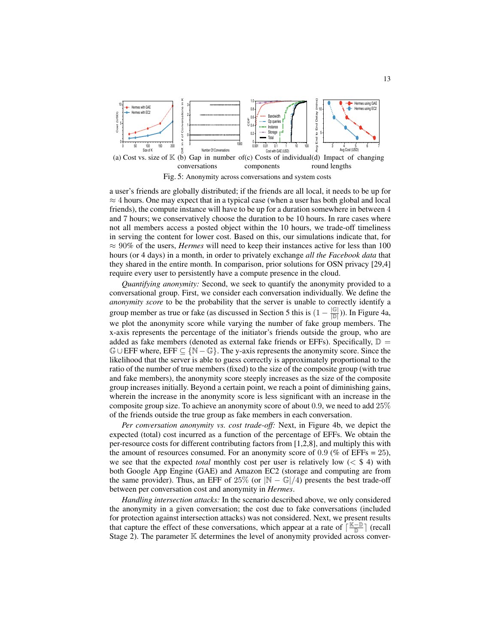<span id="page-12-0"></span>

<span id="page-12-3"></span><span id="page-12-2"></span><span id="page-12-1"></span>Fig. 5: Anonymity across conversations and system costs

a user's friends are globally distributed; if the friends are all local, it needs to be up for  $\approx$  4 hours. One may expect that in a typical case (when a user has both global and local friends), the compute instance will have to be up for a duration somewhere in between 4 and 7 hours; we conservatively choose the duration to be 10 hours. In rare cases where not all members access a posted object within the 10 hours, we trade-off timeliness in serving the content for lower cost. Based on this, our simulations indicate that, for  $\approx 90\%$  of the users, *Hermes* will need to keep their instances active for less than 100 hours (or 4 days) in a month, in order to privately exchange *all the Facebook data* that they shared in the entire month. In comparison, prior solutions for OSN privacy [\[29](#page-16-5)[,4\]](#page-15-0) require every user to persistently have a compute presence in the cloud.

*Quantifying anonymity:* Second, we seek to quantify the anonymity provided to a conversational group. First, we consider each conversation individually. We define the *anonymity score* to be the probability that the server is unable to correctly identify a group member as true or fake (as discussed in Section [5](#page-5-0) this is  $(1 - \frac{|\mathbb{G}|}{|\mathbb{D}|})$ ). In Figure [4a,](#page-10-2) we plot the anonymity score while varying the number of fake group members. The x-axis represents the percentage of the initiator's friends outside the group, who are added as fake members (denoted as external fake friends or EFFs). Specifically,  $\mathbb{D} =$  $\mathbb{G} \cup$  EFF where, EFF  $\subseteq \{ \mathbb{N} - \mathbb{G} \}$ . The y-axis represents the anonymity score. Since the likelihood that the server is able to guess correctly is approximately proportional to the ratio of the number of true members (fixed) to the size of the composite group (with true and fake members), the anonymity score steeply increases as the size of the composite group increases initially. Beyond a certain point, we reach a point of diminishing gains, wherein the increase in the anonymity score is less significant with an increase in the composite group size. To achieve an anonymity score of about 0*.*9, we need to add 25% of the friends outside the true group as fake members in each conversation.

*Per conversation anonymity vs. cost trade-off:* Next, in Figure [4b,](#page-10-3) we depict the expected (total) cost incurred as a function of the percentage of EFFs. We obtain the per-resource costs for different contributing factors from [\[1](#page-15-2)[,2](#page-15-3)[,8\]](#page-16-24), and multiply this with the amount of resources consumed. For an anonymity score of  $0.9$  (% of EFFs = 25), we see that the expected *total* monthly cost per user is relatively low (*<* \$ 4) with both Google App Engine (GAE) and Amazon EC2 (storage and computing are from the same provider). Thus, an EFF of  $25\%$  (or  $\mathbb{N} - \mathbb{G}/4$ ) presents the best trade-off between per conversation cost and anonymity in *Hermes*.

*Handling intersection attacks:* In the scenario described above, we only considered the anonymity in a given conversation; the cost due to fake conversations (included for protection against intersection attacks) was not considered. Next, we present results that capture the effect of these conversations, which appear at a rate of  $\lceil \frac{K-D}{D} \rceil$  (recall Stage [2\)](#page-8-1). The parameter  $K$  determines the level of anonymity provided across conver-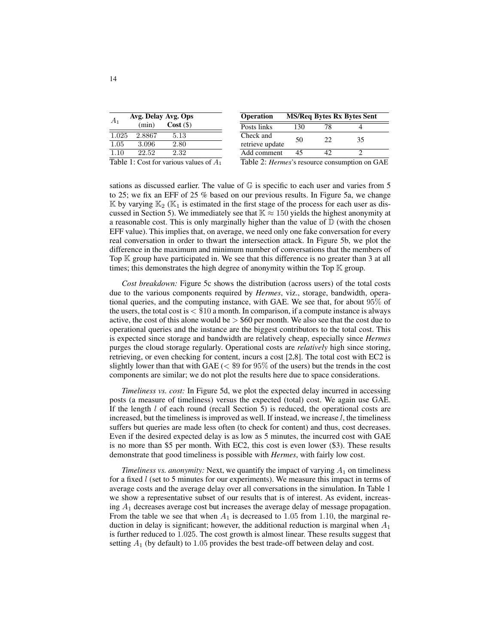<span id="page-13-1"></span><span id="page-13-0"></span>

| $A_1$                                     | Avg. Delay Avg. Ops |             | <b>Operation</b> |                                               | <b>MS/Req Bytes Rx Bytes Sent</b> |    |  |
|-------------------------------------------|---------------------|-------------|------------------|-----------------------------------------------|-----------------------------------|----|--|
|                                           | (min)               | $Cost (\$)$ | Posts links      | 130                                           |                                   |    |  |
| 1.025                                     | 2.8867              | 5.13        | Check and        | 50                                            | 22                                | 35 |  |
| 1.05                                      | 3.096               | 2.80        | retrieve update  |                                               |                                   |    |  |
| 1.10                                      | 22.52               | 2.32        | Add comment      | 45                                            |                                   |    |  |
| Table 1: Cost for various values of $A_1$ |                     |             |                  | Table 2: Hermes's resource consumption on GAE |                                   |    |  |

sations as discussed earlier. The value of  $\mathbb G$  is specific to each user and varies from 5 to 25; we fix an EFF of 25 % based on our previous results. In Figure [5a,](#page-12-0) we change K by varying  $\mathbb{K}_2$  ( $\mathbb{K}_1$  is estimated in the first stage of the process for each user as dis-cussed in Section [5\)](#page-5-0). We immediately see that  $\mathbb{K} \approx 150$  yields the highest anonymity at a reasonable cost. This is only marginally higher than the value of  $D$  (with the chosen EFF value). This implies that, on average, we need only one fake conversation for every real conversation in order to thwart the intersection attack. In Figure [5b,](#page-12-1) we plot the difference in the maximum and minimum number of conversations that the members of Top  $K$  group have participated in. We see that this difference is no greater than 3 at all times; this demonstrates the high degree of anonymity within the Top  $K$  group.

*Cost breakdown:* Figure [5c](#page-12-2) shows the distribution (across users) of the total costs due to the various components required by *Hermes*, viz., storage, bandwidth, operational queries, and the computing instance, with GAE. We see that, for about 95% of the users, the total cost is  $\lt$  \$10 a month. In comparison, if a compute instance is always active, the cost of this alone would be *>* \$60 per month. We also see that the cost due to operational queries and the instance are the biggest contributors to the total cost. This is expected since storage and bandwidth are relatively cheap, especially since *Hermes* purges the cloud storage regularly. Operational costs are *relatively* high since storing, retrieving, or even checking for content, incurs a cost [\[2,](#page-15-3)[8\]](#page-16-24). The total cost with EC2 is slightly lower than that with GAE  $\ll$  \$9 for 95% of the users) but the trends in the cost components are similar; we do not plot the results here due to space considerations.

*Timeliness vs. cost:* In Figure [5d,](#page-12-3) we plot the expected delay incurred in accessing posts (a measure of timeliness) versus the expected (total) cost. We again use GAE. If the length *l* of each round (recall Section [5\)](#page-5-0) is reduced, the operational costs are increased, but the timeliness is improved as well. If instead, we increase *l*, the timeliness suffers but queries are made less often (to check for content) and thus, cost decreases. Even if the desired expected delay is as low as 5 minutes, the incurred cost with GAE is no more than \$5 per month. With EC2, this cost is even lower (\$3). These results demonstrate that good timeliness is possible with *Hermes*, with fairly low cost.

*Timeliness vs. anonymity:* Next, we quantify the impact of varying *A*<sup>1</sup> on timeliness for a fixed *l* (set to 5 minutes for our experiments). We measure this impact in terms of average costs and the average delay over all conversations in the simulation. In Table [1](#page-13-0) we show a representative subset of our results that is of interest. As evident, increasing *A*<sup>1</sup> decreases average cost but increases the average delay of message propagation. From the table we see that when  $A_1$  is decreased to 1.05 from 1.10, the marginal reduction in delay is significant; however, the additional reduction is marginal when *A*<sup>1</sup> is further reduced to 1*.*025. The cost growth is almost linear. These results suggest that setting  $A_1$  (by default) to 1.05 provides the best trade-off between delay and cost.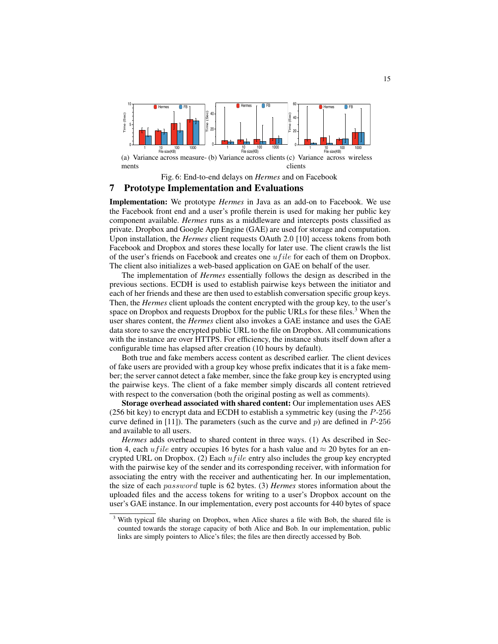<span id="page-14-1"></span>

<span id="page-14-3"></span><span id="page-14-2"></span>Fig. 6: End-to-end delays on *Hermes* and on Facebook

#### 7 Prototype Implementation and Evaluations

Implementation: We prototype *Hermes* in Java as an add-on to Facebook. We use the Facebook front end and a user's profile therein is used for making her public key component available. *Hermes* runs as a middleware and intercepts posts classified as private. Dropbox and Google App Engine (GAE) are used for storage and computation. Upon installation, the *Hermes* client requests OAuth 2.0 [\[10\]](#page-16-25) access tokens from both Facebook and Dropbox and stores these locally for later use. The client crawls the list of the user's friends on Facebook and creates one *uf ile* for each of them on Dropbox. The client also initializes a web-based application on GAE on behalf of the user.

The implementation of *Hermes* essentially follows the design as described in the previous sections. ECDH is used to establish pairwise keys between the initiator and each of her friends and these are then used to establish conversation specific group keys. Then, the *Hermes* client uploads the content encrypted with the group key, to the user's space on Dropbox and requests Dropbox for the public URLs for these files.<sup>[3](#page-14-0)</sup> When the user shares content, the *Hermes* client also invokes a GAE instance and uses the GAE data store to save the encrypted public URL to the file on Dropbox. All communications with the instance are over HTTPS. For efficiency, the instance shuts itself down after a configurable time has elapsed after creation (10 hours by default).

Both true and fake members access content as described earlier. The client devices of fake users are provided with a group key whose prefix indicates that it is a fake member; the server cannot detect a fake member, since the fake group key is encrypted using the pairwise keys. The client of a fake member simply discards all content retrieved with respect to the conversation (both the original posting as well as comments).

Storage overhead associated with shared content: Our implementation uses AES (256 bit key) to encrypt data and ECDH to establish a symmetric key (using the *P*-256 curve defined in [\[11\]](#page-16-26)). The parameters (such as the curve and *p*) are defined in *P*-256 and available to all users.

*Hermes* adds overhead to shared content in three ways. (1) As described in Sec-tion [4,](#page-3-2) each *ufile* entry occupies 16 bytes for a hash value and  $\approx$  20 bytes for an encrypted URL on Dropbox. (2) Each *uf ile* entry also includes the group key encrypted with the pairwise key of the sender and its corresponding receiver, with information for associating the entry with the receiver and authenticating her. In our implementation, the size of each *password* tuple is 62 bytes. (3) *Hermes* stores information about the uploaded files and the access tokens for writing to a user's Dropbox account on the user's GAE instance. In our implementation, every post accounts for 440 bytes of space

<span id="page-14-0"></span><sup>&</sup>lt;sup>3</sup> With typical file sharing on Dropbox, when Alice shares a file with Bob, the shared file is counted towards the storage capacity of both Alice and Bob. In our implementation, public links are simply pointers to Alice's files; the files are then directly accessed by Bob.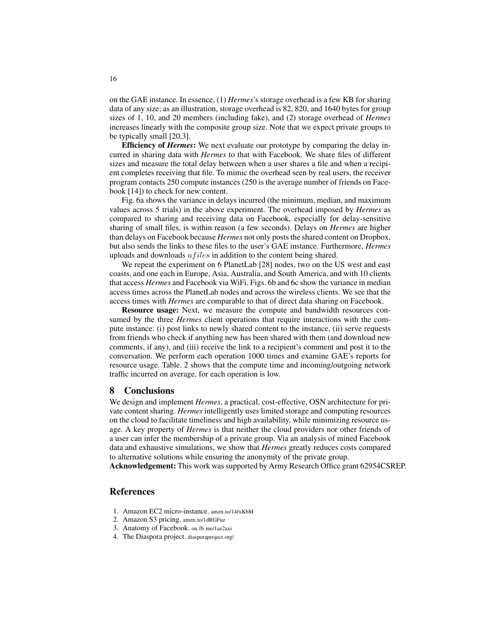on the GAE instance. In essence, (1) *Hermes*'s storage overhead is a few KB for sharing data of any size; as an illustration, storage overhead is 82, 820, and 1640 bytes for group sizes of 1, 10, and 20 members (including fake), and (2) storage overhead of *Hermes* increases linearly with the composite group size. Note that we expect private groups to be typically small [\[20](#page-16-23)[,3\]](#page-15-1).

Efficiency of *Hermes*: We next evaluate our prototype by comparing the delay incurred in sharing data with *Hermes* to that with Facebook. We share files of different sizes and measure the total delay between when a user shares a file and when a recipient completes receiving that file. To mimic the overhead seen by real users, the receiver program contacts 250 compute instances (250 is the average number of friends on Facebook [\[14\]](#page-16-27)) to check for new content.

Fig. [6a](#page-14-1) shows the variance in delays incurred (the minimum, median, and maximum values across 5 trials) in the above experiment. The overhead imposed by *Hermes* as compared to sharing and receiving data on Facebook, especially for delay-sensitive sharing of small files, is within reason (a few seconds). Delays on *Hermes* are higher than delays on Facebook because *Hermes* not only posts the shared content on Dropbox, but also sends the links to these files to the user's GAE instance. Furthermore, *Hermes* uploads and downloads *uf iles* in addition to the content being shared.

We repeat the experiment on 6 PlanetLab [\[28\]](#page-16-28) nodes, two on the US west and east coasts, and one each in Europe, Asia, Australia, and South America, and with 10 clients that access *Hermes* and Facebook via WiFi. Figs. [6b](#page-14-2) and [6c](#page-14-3) show the variance in median access times across the PlanetLab nodes and across the wireless clients. We see that the access times with *Hermes* are comparable to that of direct data sharing on Facebook.

Resource usage: Next, we measure the compute and bandwidth resources consumed by the three *Hermes* client operations that require interactions with the compute instance: (i) post links to newly shared content to the instance, (ii) serve requests from friends who check if anything new has been shared with them (and download new comments, if any), and (iii) receive the link to a recipient's comment and post it to the conversation. We perform each operation 1000 times and examine GAE's reports for resource usage. Table. [2](#page-13-1) shows that the compute time and incoming/outgoing network traffic incurred on average, for each operation is low.

#### 8 Conclusions

We design and implement *Hermes*, a practical, cost-effective, OSN architecture for private content sharing. *Hermes* intelligently uses limited storage and computing resources on the cloud to facilitate timeliness and high availability, while minimizing resource usage. A key property of *Hermes* is that neither the cloud providers nor other friends of a user can infer the membership of a private group. Via an analysis of mined Facebook data and exhaustive simulations, we show that *Hermes* greatly reduces costs compared to alternative solutions while ensuring the anonymity of the private group.

Acknowledgement: This work was supported by Army Research Office grant 62954CSREP.

#### **References**

- <span id="page-15-2"></span>1. Amazon EC2 micro-instance. amzn*.*[to/14fxKbM](amzn.to/14fxKbM)
- <span id="page-15-3"></span>2. Amazon S3 pricing. amzn*.*[to/1dRGFuz](amzn.to/1dRGFuz)
- <span id="page-15-1"></span>3. Anatomy of Facebook. on*.*fb*.*[me/1az2axi](on.fb.me/1az2axi)
- <span id="page-15-0"></span>4. The Diaspora project. [diasporaproject](diasporaproject.org/)*.*org/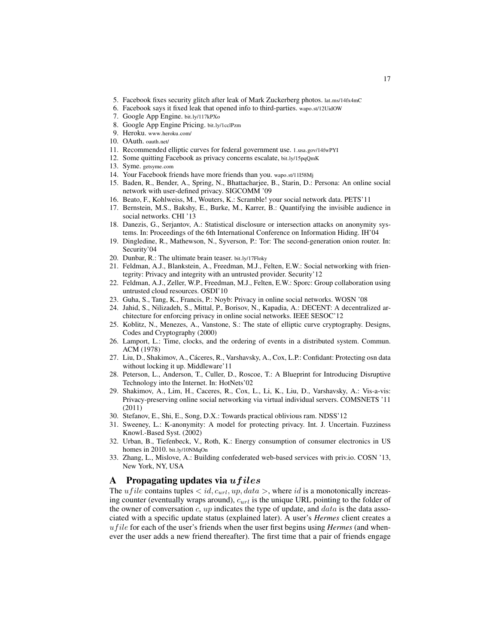- <span id="page-16-1"></span>5. Facebook fixes security glitch after leak of Mark Zuckerberg photos. lat*.*[ms/14fx4mC](lat.ms/14fx4mC)
- <span id="page-16-0"></span>6. Facebook says it fixed leak that opened info to third-parties. wapo*.*[st/12UidOW](wapo.st/12UidOW)
- <span id="page-16-17"></span>7. Google App Engine. bit*.*[ly/117kPXo](bit.ly/117kPXo)
- <span id="page-16-24"></span>8. Google App Engine Pricing. bit*.*[ly/1cclPzm](bit.ly/1cclPzm)
- <span id="page-16-18"></span>9. Heroku. www*.*[heroku](www.heroku.com/)*.*com/
- <span id="page-16-25"></span>10. OAuth. [oauth](oauth.net/)*.*net/
- <span id="page-16-26"></span>11. Recommended elliptic curves for federal government use. 1*.*usa*.*[gov/14fwPYI](1.usa.gov/14fwPYI)
- <span id="page-16-2"></span>12. Some quitting Facebook as privacy concerns escalate, bit*.*[ly/15pqQmK](bit.ly/15pqQmK)
- <span id="page-16-6"></span>13. Syme. [getsyme](getsyme.com)*.*com
- <span id="page-16-27"></span>14. Your Facebook friends have more friends than you. wapo*.*[st/11I58Mj](wapo.st/11I58Mj)
- <span id="page-16-3"></span>15. Baden, R., Bender, A., Spring, N., Bhattacharjee, B., Starin, D.: Persona: An online social network with user-defined privacy. SIGCOMM '09
- <span id="page-16-11"></span>16. Beato, F., Kohlweiss, M., Wouters, K.: Scramble! your social network data. PETS'11
- <span id="page-16-21"></span>17. Bernstein, M.S., Bakshy, E., Burke, M., Karrer, B.: Quantifying the invisible audience in social networks. CHI '13
- <span id="page-16-9"></span>18. Danezis, G., Serjantov, A.: Statistical disclosure or intersection attacks on anonymity systems. In: Proceedings of the 6th International Conference on Information Hiding. IH'04
- <span id="page-16-15"></span>19. Dingledine, R., Mathewson, N., Syverson, P.: Tor: The second-generation onion router. In: Security'04
- <span id="page-16-23"></span>20. Dunbar, R.: The ultimate brain teaser. bit*.*[ly/17Floky](bit.ly/17Floky)
- <span id="page-16-10"></span>21. Feldman, A.J., Blankstein, A., Freedman, M.J., Felten, E.W.: Social networking with frientegrity: Privacy and integrity with an untrusted provider. Security'12
- <span id="page-16-13"></span>22. Feldman, A.J., Zeller, W.P., Freedman, M.J., Felten, E.W.: Sporc: Group collaboration using untrusted cloud resources. OSDI'10
- <span id="page-16-4"></span>23. Guha, S., Tang, K., Francis, P.: Noyb: Privacy in online social networks. WOSN '08
- <span id="page-16-7"></span>24. Jahid, S., Nilizadeh, S., Mittal, P., Borisov, N., Kapadia, A.: DECENT: A decentralized architecture for enforcing privacy in online social networks. IEEE SESOC'12
- <span id="page-16-16"></span>25. Koblitz, N., Menezes, A., Vanstone, S.: The state of elliptic curve cryptography. Designs, Codes and Cryptography (2000)
- <span id="page-16-19"></span>26. Lamport, L.: Time, clocks, and the ordering of events in a distributed system. Commun. ACM (1978)
- <span id="page-16-8"></span>27. Liu, D., Shakimov, A., Caceres, R., Varshavsky, A., Cox, L.P.: Confidant: Protecting osn data ´ without locking it up. Middleware'11
- <span id="page-16-28"></span>28. Peterson, L., Anderson, T., Culler, D., Roscoe, T.: A Blueprint for Introducing Disruptive Technology into the Internet. In: HotNets'02
- <span id="page-16-5"></span>29. Shakimov, A., Lim, H., Caceres, R., Cox, L., Li, K., Liu, D., Varshavsky, A.: Vis-a-vis: Privacy-preserving online social networking via virtual individual servers. COMSNETS '11 (2011)
- <span id="page-16-14"></span>30. Stefanov, E., Shi, E., Song, D.X.: Towards practical oblivious ram. NDSS'12
- <span id="page-16-20"></span>31. Sweeney, L.: K-anonymity: A model for protecting privacy. Int. J. Uncertain. Fuzziness Knowl.-Based Syst. (2002)
- <span id="page-16-22"></span>32. Urban, B., Tiefenbeck, V., Roth, K.: Energy consumption of consumer electronics in US homes in 2010. bit*.*[ly/10NMqOn](bit.ly/10NMqOn)
- <span id="page-16-12"></span>33. Zhang, L., Mislove, A.: Building confederated web-based services with priv.io. COSN '13, New York, NY, USA

#### A Propagating updates via *uf iles*

The *ufile* contains tuples  $\langle id, c_{url}, up, data \rangle$ , where *id* is a monotonically increasing counter (eventually wraps around),  $c_{url}$  is the unique URL pointing to the folder of the owner of conversation *c*, *up* indicates the type of update, and *data* is the data associated with a specific update status (explained later). A user's *Hermes* client creates a *uf ile* for each of the user's friends when the user first begins using *Hermes* (and whenever the user adds a new friend thereafter). The first time that a pair of friends engage